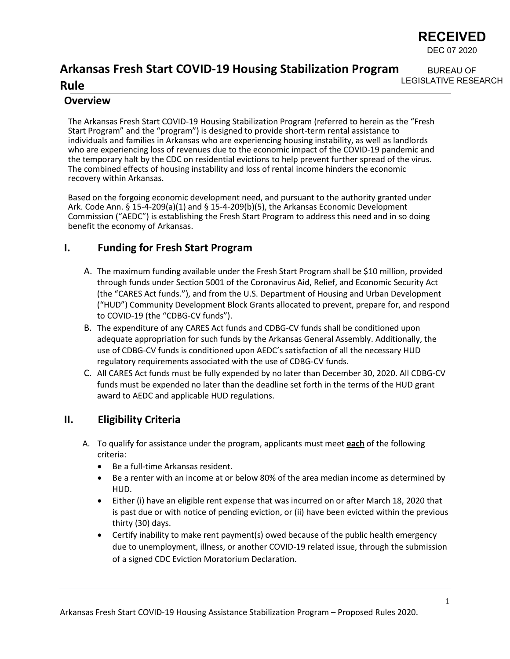

BUREAU OF

#### **Arkansas Fresh Start COVID-19 Housing Stabilization Program Rule** LEGISLATIVE RESEARCH

### **Overview**

The Arkansas Fresh Start COVID-19 Housing Stabilization Program (referred to herein as the "Fresh Start Program" and the "program") is designed to provide short-term rental assistance to individuals and families in Arkansas who are experiencing housing instability, as well as landlords who are experiencing loss of revenues due to the economic impact of the COVID-19 pandemic and the temporary halt by the CDC on residential evictions to help prevent further spread of the virus. The combined effects of housing instability and loss of rental income hinders the economic recovery within Arkansas.

Based on the forgoing economic development need, and pursuant to the authority granted under Ark. Code Ann. § 15-4-209(a)(1) and § 15-4-209(b)(5), the Arkansas Economic Development Commission ("AEDC") is establishing the Fresh Start Program to address this need and in so doing benefit the economy of Arkansas.

## **I. Funding for Fresh Start Program**

- A. The maximum funding available under the Fresh Start Program shall be \$10 million, provided through funds under Section 5001 of the Coronavirus Aid, Relief, and Economic Security Act (the "CARES Act funds."), and from the U.S. Department of Housing and Urban Development ("HUD") Community Development Block Grants allocated to prevent, prepare for, and respond to COVID-19 (the "CDBG-CV funds").
- B. The expenditure of any CARES Act funds and CDBG-CV funds shall be conditioned upon adequate appropriation for such funds by the Arkansas General Assembly. Additionally, the use of CDBG-CV funds is conditioned upon AEDC's satisfaction of all the necessary HUD regulatory requirements associated with the use of CDBG-CV funds.
- C. All CARES Act funds must be fully expended by no later than December 30, 2020. All CDBG-CV funds must be expended no later than the deadline set forth in the terms of the HUD grant award to AEDC and applicable HUD regulations.

## **II. Eligibility Criteria**

- A. To qualify for assistance under the program, applicants must meet **each** of the following criteria:
	- Be a full-time Arkansas resident.
	- Be a renter with an income at or below 80% of the area median income as determined by HUD.
	- Either (i) have an eligible rent expense that was incurred on or after March 18, 2020 that is past due or with notice of pending eviction, or (ii) have been evicted within the previous thirty (30) days.
	- Certify inability to make rent payment(s) owed because of the public health emergency due to unemployment, illness, or another COVID-19 related issue, through the submission of a signed CDC Eviction Moratorium Declaration.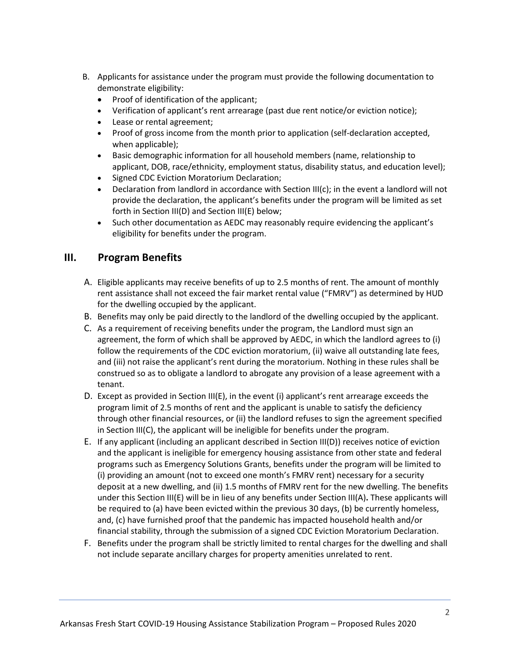- B. Applicants for assistance under the program must provide the following documentation to demonstrate eligibility:
	- Proof of identification of the applicant;
	- Verification of applicant's rent arrearage (past due rent notice/or eviction notice);
	- Lease or rental agreement;
	- Proof of gross income from the month prior to application (self-declaration accepted, when applicable);
	- Basic demographic information for all household members (name, relationship to applicant, DOB, race/ethnicity, employment status, disability status, and education level);
	- Signed CDC Eviction Moratorium Declaration;
	- Declaration from landlord in accordance with Section III(c); in the event a landlord will not provide the declaration, the applicant's benefits under the program will be limited as set forth in Section III(D) and Section III(E) below;
	- Such other documentation as AEDC may reasonably require evidencing the applicant's eligibility for benefits under the program.

### **III. Program Benefits**

- A. Eligible applicants may receive benefits of up to 2.5 months of rent. The amount of monthly rent assistance shall not exceed the fair market rental value ("FMRV") as determined by HUD for the dwelling occupied by the applicant.
- B. Benefits may only be paid directly to the landlord of the dwelling occupied by the applicant.
- C. As a requirement of receiving benefits under the program, the Landlord must sign an agreement, the form of which shall be approved by AEDC, in which the landlord agrees to (i) follow the requirements of the CDC eviction moratorium, (ii) waive all outstanding late fees, and (iii) not raise the applicant's rent during the moratorium. Nothing in these rules shall be construed so as to obligate a landlord to abrogate any provision of a lease agreement with a tenant.
- D. Except as provided in Section III(E), in the event (i) applicant's rent arrearage exceeds the program limit of 2.5 months of rent and the applicant is unable to satisfy the deficiency through other financial resources, or (ii) the landlord refuses to sign the agreement specified in Section III(C), the applicant will be ineligible for benefits under the program.
- E. If any applicant (including an applicant described in Section III(D)) receives notice of eviction and the applicant is ineligible for emergency housing assistance from other state and federal programs such as Emergency Solutions Grants, benefits under the program will be limited to (i) providing an amount (not to exceed one month's FMRV rent) necessary for a security deposit at a new dwelling, and (ii) 1.5 months of FMRV rent for the new dwelling. The benefits under this Section III(E) will be in lieu of any benefits under Section III(A)**.** These applicants will be required to (a) have been evicted within the previous 30 days, (b) be currently homeless, and, (c) have furnished proof that the pandemic has impacted household health and/or financial stability, through the submission of a signed CDC Eviction Moratorium Declaration.
- F. Benefits under the program shall be strictly limited to rental charges for the dwelling and shall not include separate ancillary charges for property amenities unrelated to rent.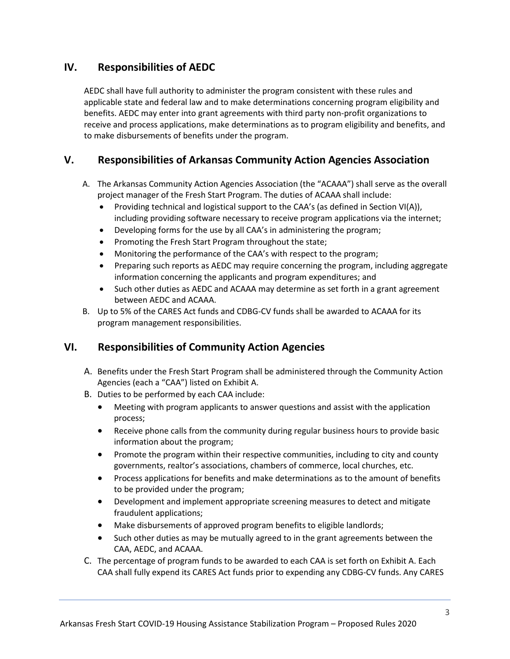# **IV. Responsibilities of AEDC**

AEDC shall have full authority to administer the program consistent with these rules and applicable state and federal law and to make determinations concerning program eligibility and benefits. AEDC may enter into grant agreements with third party non-profit organizations to receive and process applications, make determinations as to program eligibility and benefits, and to make disbursements of benefits under the program.

# **V. Responsibilities of Arkansas Community Action Agencies Association**

- A. The Arkansas Community Action Agencies Association (the "ACAAA") shall serve as the overall project manager of the Fresh Start Program. The duties of ACAAA shall include:
	- Providing technical and logistical support to the CAA's (as defined in Section VI(A)), including providing software necessary to receive program applications via the internet;
	- Developing forms for the use by all CAA's in administering the program;
	- Promoting the Fresh Start Program throughout the state;
	- Monitoring the performance of the CAA's with respect to the program;
	- Preparing such reports as AEDC may require concerning the program, including aggregate information concerning the applicants and program expenditures; and
	- Such other duties as AEDC and ACAAA may determine as set forth in a grant agreement between AEDC and ACAAA.
- B. Up to 5% of the CARES Act funds and CDBG-CV funds shall be awarded to ACAAA for its program management responsibilities.

## **VI. Responsibilities of Community Action Agencies**

- A. Benefits under the Fresh Start Program shall be administered through the Community Action Agencies (each a "CAA") listed on Exhibit A.
- B. Duties to be performed by each CAA include:
	- Meeting with program applicants to answer questions and assist with the application process;
	- Receive phone calls from the community during regular business hours to provide basic information about the program;
	- Promote the program within their respective communities, including to city and county governments, realtor's associations, chambers of commerce, local churches, etc.
	- Process applications for benefits and make determinations as to the amount of benefits to be provided under the program;
	- Development and implement appropriate screening measures to detect and mitigate fraudulent applications;
	- Make disbursements of approved program benefits to eligible landlords;
	- Such other duties as may be mutually agreed to in the grant agreements between the CAA, AEDC, and ACAAA.
- C. The percentage of program funds to be awarded to each CAA is set forth on Exhibit A. Each CAA shall fully expend its CARES Act funds prior to expending any CDBG-CV funds. Any CARES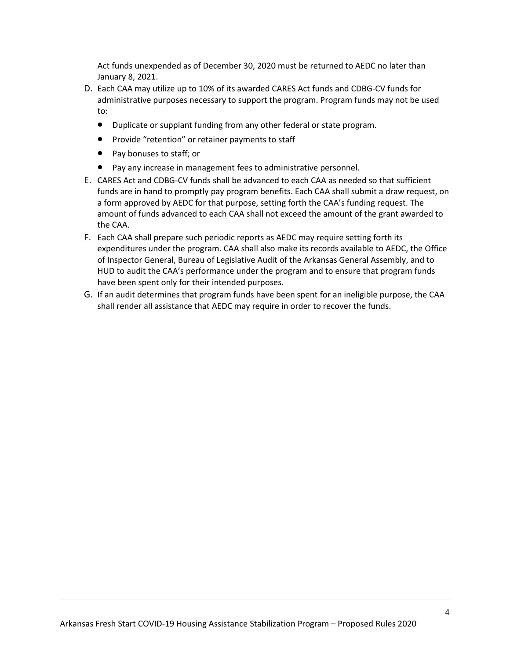Act funds unexpended as of December 30, 2020 must be returned to AEDC no later than January 8, 2021.

- D. Each CAA may utilize up to 10% of its awarded CARES Act funds and CDBG-CV funds for administrative purposes necessary to support the program. Program funds may not be used to:
	- Duplicate or supplant funding from any other federal or state program.
	- Provide "retention" or retainer payments to staff
	- Pay bonuses to staff; or
	- Pay any increase in management fees to administrative personnel.
- E. CARES Act and CDBG-CV funds shall be advanced to each CAA as needed so that sufficient funds are in hand to promptly pay program benefits. Each CAA shall submit a draw request, on a form approved by AEDC for that purpose, setting forth the CAA's funding request. The amount of funds advanced to each CAA shall not exceed the amount of the grant awarded to the CAA.
- F. Each CAA shall prepare such periodic reports as AEDC may require setting forth its expenditures under the program. CAA shall also make its records available to AEDC, the Office of Inspector General, Bureau of Legislative Audit of the Arkansas General Assembly, and to HUD to audit the CAA's performance under the program and to ensure that program funds have been spent only for their intended purposes.
- G. If an audit determines that program funds have been spent for an ineligible purpose, the CAA shall render all assistance that AEDC may require in order to recover the funds.